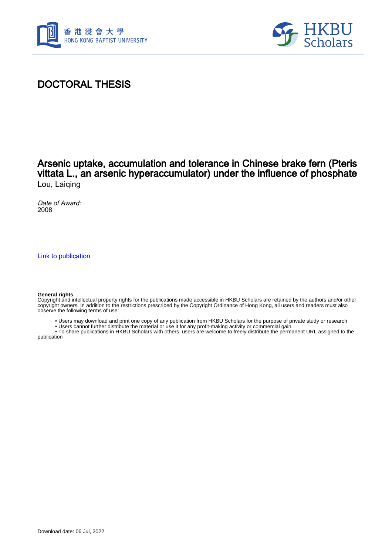



## DOCTORAL THESIS

### Arsenic uptake, accumulation and tolerance in Chinese brake fern (Pteris vittata L., an arsenic hyperaccumulator) under the influence of phosphate Lou, Laiqing

Date of Award: 2008

[Link to publication](https://scholars.hkbu.edu.hk/en/studentTheses/9f330a7d-6835-4f21-83e8-87db1ba9031f)

#### **General rights**

Copyright and intellectual property rights for the publications made accessible in HKBU Scholars are retained by the authors and/or other copyright owners. In addition to the restrictions prescribed by the Copyright Ordinance of Hong Kong, all users and readers must also observe the following terms of use:

• Users may download and print one copy of any publication from HKBU Scholars for the purpose of private study or research

• Users cannot further distribute the material or use it for any profit-making activity or commercial gain

 • To share publications in HKBU Scholars with others, users are welcome to freely distribute the permanent URL assigned to the publication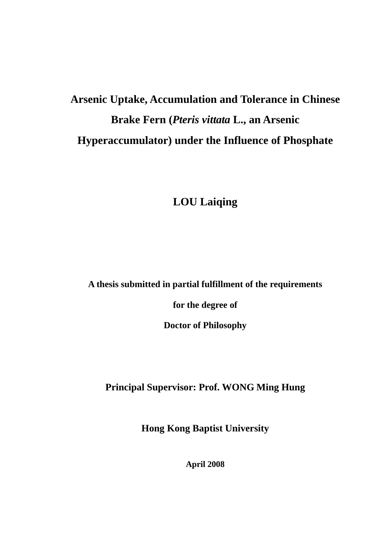# **Arsenic Uptake, Accumulation and Tolerance in Chinese Brake Fern (***Pteris vittata* **L., an Arsenic Hyperaccumulator) under the Influence of Phosphate**

# **LOU Laiqing**

**A thesis submitted in partial fulfillment of the requirements** 

**for the degree of** 

**Doctor of Philosophy** 

**Principal Supervisor: Prof. WONG Ming Hung** 

**Hong Kong Baptist University** 

**April 2008**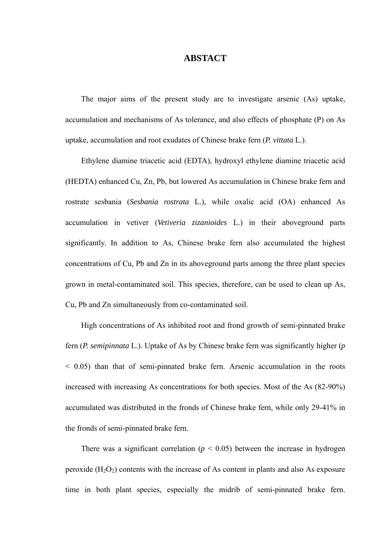### **ABSTACT**

The major aims of the present study are to investigate arsenic (As) uptake, accumulation and mechanisms of As tolerance, and also effects of phosphate (P) on As uptake, accumulation and root exudates of Chinese brake fern (*P. vittata* L.).

Ethylene diamine triacetic acid (EDTA), hydroxyl ethylene diamine triacetic acid (HEDTA) enhanced Cu, Zn, Pb, but lowered As accumulation in Chinese brake fern and rostrate sesbania (*Sesbania rostrata* L.), while oxalic acid (OA) enhanced As accumulation in vetiver (*Vetiveria zizanioides* L.) in their aboveground parts significantly. In addition to As, Chinese brake fern also accumulated the highest concentrations of Cu, Pb and Zn in its aboveground parts among the three plant species grown in metal-contaminated soil. This species, therefore, can be used to clean up As, Cu, Pb and Zn simultaneously from co-contaminated soil.

High concentrations of As inhibited root and frond growth of semi-pinnated brake fern (*P. semipinnata* L.). Uptake of As by Chinese brake fern was significantly higher (*p* < 0.05) than that of semi-pinnated brake fern. Arsenic accumulation in the roots increased with increasing As concentrations for both species. Most of the As (82-90%) accumulated was distributed in the fronds of Chinese brake fern, while only 29-41% in the fronds of semi-pinnated brake fern.

There was a significant correlation  $(p < 0.05)$  between the increase in hydrogen peroxide  $(H_2O_2)$  contents with the increase of As content in plants and also As exposure time in both plant species, especially the midrib of semi-pinnated brake fern.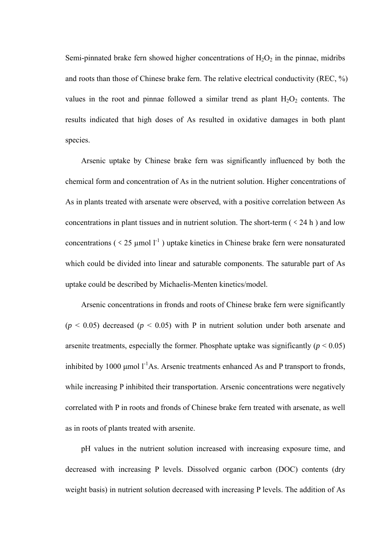Semi-pinnated brake fern showed higher concentrations of  $H_2O_2$  in the pinnae, midribs and roots than those of Chinese brake fern. The relative electrical conductivity (REC, %) values in the root and pinnae followed a similar trend as plant  $H_2O_2$  contents. The results indicated that high doses of As resulted in oxidative damages in both plant species.

Arsenic uptake by Chinese brake fern was significantly influenced by both the chemical form and concentration of As in the nutrient solution. Higher concentrations of As in plants treated with arsenate were observed, with a positive correlation between As concentrations in plant tissues and in nutrient solution. The short-term  $(< 24 h$  ) and low concentrations ( $\leq 25$  µmol  $1^{-1}$ ) uptake kinetics in Chinese brake fern were nonsaturated which could be divided into linear and saturable components. The saturable part of As uptake could be described by Michaelis-Menten kinetics/model.

Arsenic concentrations in fronds and roots of Chinese brake fern were significantly  $(p < 0.05)$  decreased  $(p < 0.05)$  with P in nutrient solution under both arsenate and arsenite treatments, especially the former. Phosphate uptake was significantly  $(p < 0.05)$ inhibited by 1000  $\mu$ mol l<sup>-1</sup>As. Arsenic treatments enhanced As and P transport to fronds, while increasing P inhibited their transportation. Arsenic concentrations were negatively correlated with P in roots and fronds of Chinese brake fern treated with arsenate, as well as in roots of plants treated with arsenite.

pH values in the nutrient solution increased with increasing exposure time, and decreased with increasing P levels. Dissolved organic carbon (DOC) contents (dry weight basis) in nutrient solution decreased with increasing P levels. The addition of As